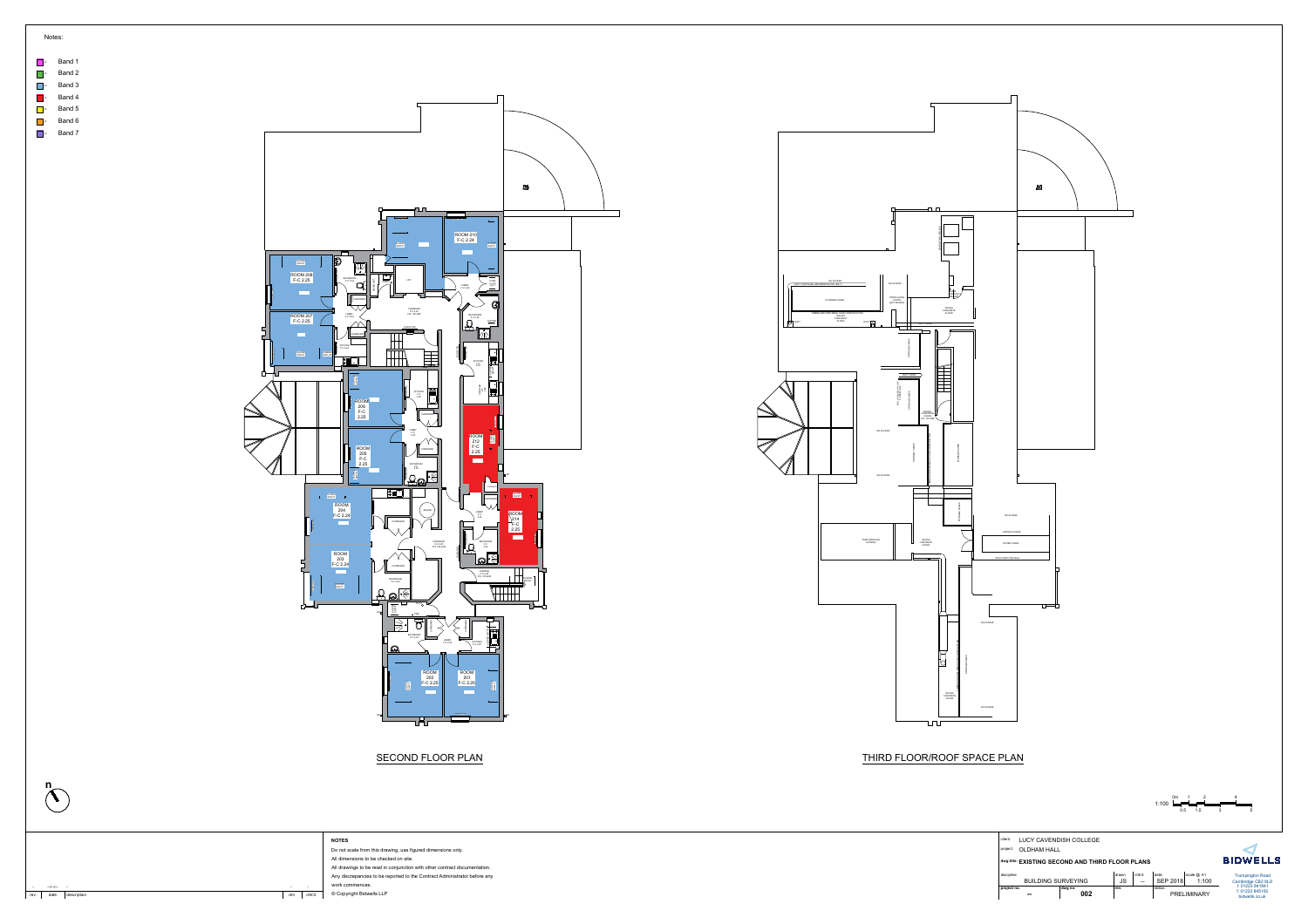



|     | Notes: |  |  |  |
|-----|--------|--|--|--|
|     |        |  |  |  |
|     | Band 1 |  |  |  |
|     | Band 2 |  |  |  |
| l – | Band 3 |  |  |  |
| - 1 | Band 4 |  |  |  |
|     | Band 5 |  |  |  |
|     | Band 6 |  |  |  |
|     | Band 7 |  |  |  |





| client:<br>project: | <b>OLDHAM HALL</b>                               | LUCY CAVENDISH COLLEGE |             |                                                            |                          |                     |                                                      |
|---------------------|--------------------------------------------------|------------------------|-------------|------------------------------------------------------------|--------------------------|---------------------|------------------------------------------------------|
|                     | dwg title: EXISTING SECOND AND THIRD FLOOR PLANS |                        |             |                                                            |                          |                     | <b>BIDWELLS</b>                                      |
| discipline          | <b>BUILDING SURVEYING</b>                        |                        | drawn<br>JS | chk'd<br>$\hspace{0.05cm}-\hspace{0.05cm}-\hspace{0.05cm}$ | date:<br><b>SEP 2018</b> | scale @ A1<br>1:100 | <b>Trumpington Road</b><br>Cambridge CB2 9LD         |
| project no.         | $\sim$                                           | dwg no.<br>002         | rev.        |                                                            | status.<br>PRELIMINARY   |                     | t: 01223 841841<br>f: 01223 845150<br>bidwells.co.uk |